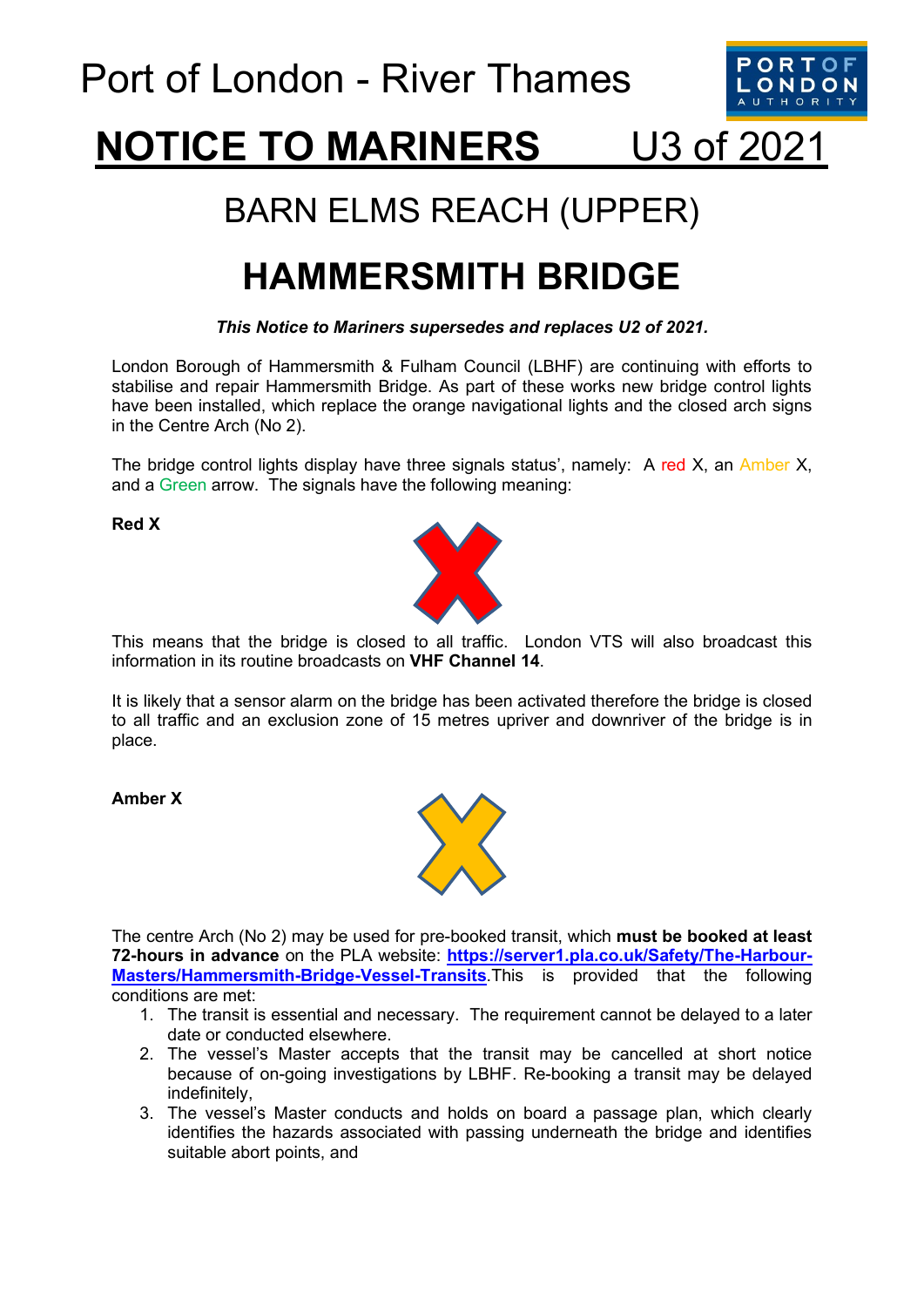

# **NOTICE TO MARINERS** U3 of 2021

### BARN ELMS REACH (UPPER)

## **HAMMERSMITH BRIDGE**

#### *This Notice to Mariners supersedes and replaces U2 of 2021.*

London Borough of Hammersmith & Fulham Council (LBHF) are continuing with efforts to stabilise and repair Hammersmith Bridge. As part of these works new bridge control lights have been installed, which replace the orange navigational lights and the closed arch signs in the Centre Arch (No 2).

The bridge control lights display have three signals status', namely: A red X, an Amber X, and a Green arrow. The signals have the following meaning:

**Red X**



This means that the bridge is closed to all traffic. London VTS will also broadcast this information in its routine broadcasts on **VHF Channel 14**.

It is likely that a sensor alarm on the bridge has been activated therefore the bridge is closed to all traffic and an exclusion zone of 15 metres upriver and downriver of the bridge is in place.

**Amber X**



The centre Arch (No 2) may be used for pre-booked transit, which **must be booked at least 72-hours in advance** on the PLA website: **[https://server1.pla.co.uk/Safety/The-Harbour-](https://server1.pla.co.uk/Safety/The-Harbour-Masters/Hammersmith-Bridge-Vessel-Transits)[Masters/Hammersmith-Bridge-Vessel-Transits](https://server1.pla.co.uk/Safety/The-Harbour-Masters/Hammersmith-Bridge-Vessel-Transits)**.This is provided that the following conditions are met:

- 1. The transit is essential and necessary. The requirement cannot be delayed to a later date or conducted elsewhere.
- 2. The vessel's Master accepts that the transit may be cancelled at short notice because of on-going investigations by LBHF. Re-booking a transit may be delayed indefinitely,
- 3. The vessel's Master conducts and holds on board a passage plan, which clearly identifies the hazards associated with passing underneath the bridge and identifies suitable abort points, and